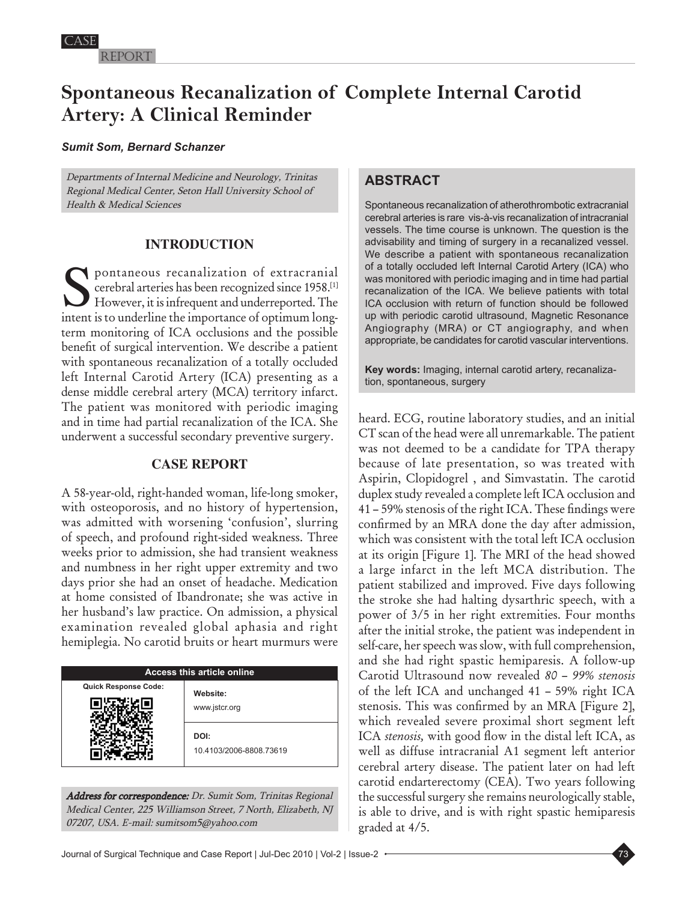Report

# **Spontaneous Recanalization of Complete Internal Carotid Artery: A Clinical Reminder**

### *Sumit Som, Bernard Schanzer*

Departments of Internal Medicine and Neurology, Trinitas Regional Medical Center, Seton Hall University School of Health & Medical Sciences

# **INTRODUCTION**

Spontaneous recanalization of extracranial cerebral arteries has been recognized since 1958.[1] However, it is infrequent and underreported. The intent is to underline the importance of optimum longterm monitoring of ICA occlusions and the possible benefit of surgical intervention. We describe a patient with spontaneous recanalization of a totally occluded left Internal Carotid Artery (ICA) presenting as a dense middle cerebral artery (MCA) territory infarct. The patient was monitored with periodic imaging and in time had partial recanalization of the ICA. She underwent a successful secondary preventive surgery.

## **CASE REPORT**

A 58-year-old, right-handed woman, life-long smoker, with osteoporosis, and no history of hypertension, was admitted with worsening 'confusion', slurring of speech, and profound right-sided weakness. Three weeks prior to admission, she had transient weakness and numbness in her right upper extremity and two days prior she had an onset of headache. Medication at home consisted of Ibandronate; she was active in her husband's law practice. On admission, a physical examination revealed global aphasia and right hemiplegia. No carotid bruits or heart murmurs were

| <b>Access this article online</b> |                                 |
|-----------------------------------|---------------------------------|
| <b>Quick Response Code:</b>       | Website:<br>www.jstcr.org       |
|                                   | DOI:<br>10.4103/2006-8808.73619 |

Address for correspondence: Dr. Sumit Som, Trinitas Regional Medical Center, 225 Williamson Street, 7 North, Elizabeth, NJ 07207, USA. E-mail: sumitsom5@yahoo.com

# **ABSTRACT**

Spontaneous recanalization of atherothrombotic extracranial cerebral arteries is rare vis-à-vis recanalization of intracranial vessels. The time course is unknown. The question is the advisability and timing of surgery in a recanalized vessel. We describe a patient with spontaneous recanalization of a totally occluded left Internal Carotid Artery (ICA) who was monitored with periodic imaging and in time had partial recanalization of the ICA. We believe patients with total ICA occlusion with return of function should be followed up with periodic carotid ultrasound, Magnetic Resonance Angiography (MRA) or CT angiography, and when appropriate, be candidates for carotid vascular interventions.

**Key words:** Imaging, internal carotid artery, recanalization, spontaneous, surgery

heard. ECG, routine laboratory studies, and an initial CT scan of the head were all unremarkable. The patient was not deemed to be a candidate for TPA therapy because of late presentation, so was treated with Aspirin, Clopidogrel , and Simvastatin. The carotid duplex study revealed a complete left ICA occlusion and 41 – 59% stenosis of the right ICA. These findings were confirmed by an MRA done the day after admission, which was consistent with the total left ICA occlusion at its origin [Figure 1]. The MRI of the head showed a large infarct in the left MCA distribution. The patient stabilized and improved. Five days following the stroke she had halting dysarthric speech, with a power of 3/5 in her right extremities. Four months after the initial stroke, the patient was independent in self-care, her speech was slow, with full comprehension, and she had right spastic hemiparesis. A follow-up Carotid Ultrasound now revealed *80 – 99% stenosis* of the left ICA and unchanged 41 *–* 59% right ICA stenosis. This was confirmed by an MRA [Figure 2], which revealed severe proximal short segment left ICA *stenosis,* with good flow in the distal left ICA, as well as diffuse intracranial A1 segment left anterior cerebral artery disease. The patient later on had left carotid endarterectomy (CEA). Two years following the successful surgery she remains neurologically stable, is able to drive, and is with right spastic hemiparesis graded at 4/5.